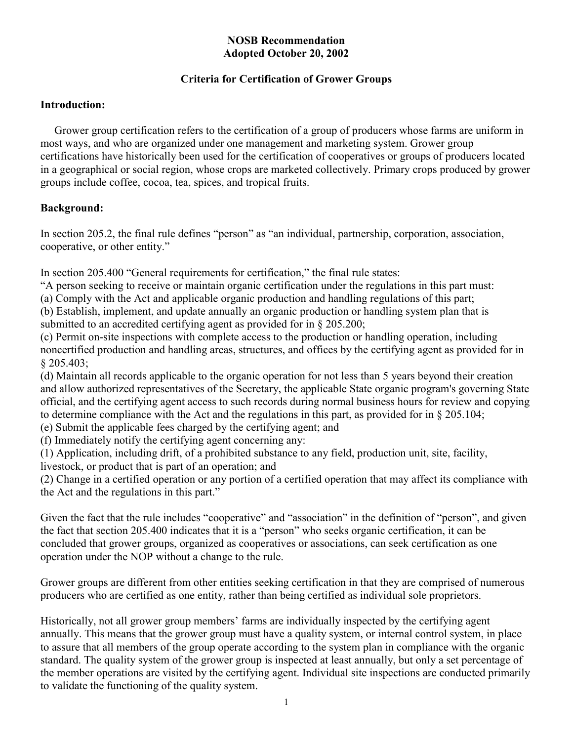#### **NOSB Recommendation Adopted October 20, 2002**

#### **Criteria for Certification of Grower Groups**

#### **Introduction:**

Grower group certification refers to the certification of a group of producers whose farms are uniform in most ways, and who are organized under one management and marketing system. Grower group certifications have historically been used for the certification of cooperatives or groups of producers located in a geographical or social region, whose crops are marketed collectively. Primary crops produced by grower groups include coffee, cocoa, tea, spices, and tropical fruits.

## **Background:**

In section 205.2, the final rule defines "person" as "an individual, partnership, corporation, association, cooperative, or other entity."

In section 205.400 "General requirements for certification," the final rule states:

"A person seeking to receive or maintain organic certification under the regulations in this part must:

(a) Comply with the Act and applicable organic production and handling regulations of this part;

(b) Establish, implement, and update annually an organic production or handling system plan that is submitted to an accredited certifying agent as provided for in § 205.200;

(c) Permit on-site inspections with complete access to the production or handling operation, including noncertified production and handling areas, structures, and offices by the certifying agent as provided for in § 205.403;

(d) Maintain all records applicable to the organic operation for not less than 5 years beyond their creation and allow authorized representatives of the Secretary, the applicable State organic program's governing State official, and the certifying agent access to such records during normal business hours for review and copying to determine compliance with the Act and the regulations in this part, as provided for in § 205.104;

(e) Submit the applicable fees charged by the certifying agent; and

(f) Immediately notify the certifying agent concerning any:

(1) Application, including drift, of a prohibited substance to any field, production unit, site, facility, livestock, or product that is part of an operation; and

(2) Change in a certified operation or any portion of a certified operation that may affect its compliance with the Act and the regulations in this part."

Given the fact that the rule includes "cooperative" and "association" in the definition of "person", and given the fact that section 205.400 indicates that it is a "person" who seeks organic certification, it can be concluded that grower groups, organized as cooperatives or associations, can seek certification as one operation under the NOP without a change to the rule.

Grower groups are different from other entities seeking certification in that they are comprised of numerous producers who are certified as one entity, rather than being certified as individual sole proprietors.

Historically, not all grower group members' farms are individually inspected by the certifying agent annually. This means that the grower group must have a quality system, or internal control system, in place to assure that all members of the group operate according to the system plan in compliance with the organic standard. The quality system of the grower group is inspected at least annually, but only a set percentage of the member operations are visited by the certifying agent. Individual site inspections are conducted primarily to validate the functioning of the quality system.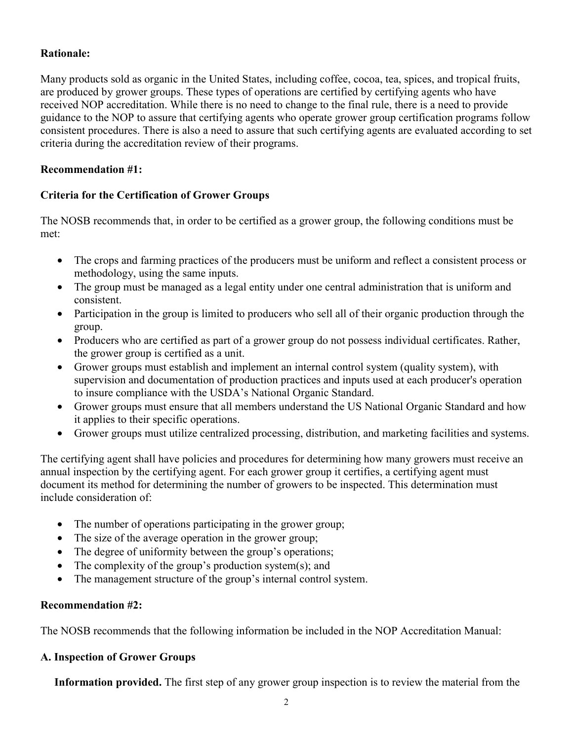## **Rationale:**

Many products sold as organic in the United States, including coffee, cocoa, tea, spices, and tropical fruits, are produced by grower groups. These types of operations are certified by certifying agents who have received NOP accreditation. While there is no need to change to the final rule, there is a need to provide guidance to the NOP to assure that certifying agents who operate grower group certification programs follow consistent procedures. There is also a need to assure that such certifying agents are evaluated according to set criteria during the accreditation review of their programs.

## **Recommendation #1:**

## **Criteria for the Certification of Grower Groups**

The NOSB recommends that, in order to be certified as a grower group, the following conditions must be met:

- The crops and farming practices of the producers must be uniform and reflect a consistent process or methodology, using the same inputs.
- The group must be managed as a legal entity under one central administration that is uniform and consistent.
- Participation in the group is limited to producers who sell all of their organic production through the group.
- Producers who are certified as part of a grower group do not possess individual certificates. Rather, the grower group is certified as a unit.
- Grower groups must establish and implement an internal control system (quality system), with supervision and documentation of production practices and inputs used at each producer's operation to insure compliance with the USDA's National Organic Standard.
- Grower groups must ensure that all members understand the US National Organic Standard and how it applies to their specific operations.
- Grower groups must utilize centralized processing, distribution, and marketing facilities and systems.

The certifying agent shall have policies and procedures for determining how many growers must receive an annual inspection by the certifying agent. For each grower group it certifies, a certifying agent must document its method for determining the number of growers to be inspected. This determination must include consideration of:

- The number of operations participating in the grower group;
- The size of the average operation in the grower group;
- The degree of uniformity between the group's operations;
- The complexity of the group's production system(s); and
- The management structure of the group's internal control system.

#### **Recommendation #2:**

The NOSB recommends that the following information be included in the NOP Accreditation Manual:

#### **A. Inspection of Grower Groups**

**Information provided.** The first step of any grower group inspection is to review the material from the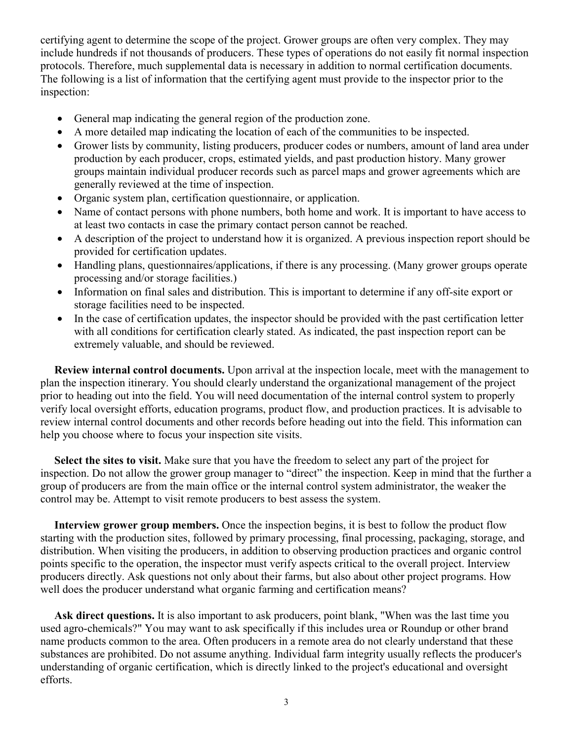certifying agent to determine the scope of the project. Grower groups are often very complex. They may include hundreds if not thousands of producers. These types of operations do not easily fit normal inspection protocols. Therefore, much supplemental data is necessary in addition to normal certification documents. The following is a list of information that the certifying agent must provide to the inspector prior to the inspection:

- General map indicating the general region of the production zone.
- A more detailed map indicating the location of each of the communities to be inspected.
- Grower lists by community, listing producers, producer codes or numbers, amount of land area under production by each producer, crops, estimated yields, and past production history. Many grower groups maintain individual producer records such as parcel maps and grower agreements which are generally reviewed at the time of inspection.
- Organic system plan, certification questionnaire, or application.
- Name of contact persons with phone numbers, both home and work. It is important to have access to at least two contacts in case the primary contact person cannot be reached.
- A description of the project to understand how it is organized. A previous inspection report should be provided for certification updates.
- Handling plans, questionnaires/applications, if there is any processing. (Many grower groups operate processing and/or storage facilities.)
- Information on final sales and distribution. This is important to determine if any off-site export or storage facilities need to be inspected.
- In the case of certification updates, the inspector should be provided with the past certification letter with all conditions for certification clearly stated. As indicated, the past inspection report can be extremely valuable, and should be reviewed.

 **Review internal control documents.** Upon arrival at the inspection locale, meet with the management to plan the inspection itinerary. You should clearly understand the organizational management of the project prior to heading out into the field. You will need documentation of the internal control system to properly verify local oversight efforts, education programs, product flow, and production practices. It is advisable to review internal control documents and other records before heading out into the field. This information can help you choose where to focus your inspection site visits.

 **Select the sites to visit.** Make sure that you have the freedom to select any part of the project for inspection. Do not allow the grower group manager to "direct" the inspection. Keep in mind that the further a group of producers are from the main office or the internal control system administrator, the weaker the control may be. Attempt to visit remote producers to best assess the system.

**Interview grower group members.** Once the inspection begins, it is best to follow the product flow starting with the production sites, followed by primary processing, final processing, packaging, storage, and distribution. When visiting the producers, in addition to observing production practices and organic control points specific to the operation, the inspector must verify aspects critical to the overall project. Interview producers directly. Ask questions not only about their farms, but also about other project programs. How well does the producer understand what organic farming and certification means?

 **Ask direct questions.** It is also important to ask producers, point blank, "When was the last time you used agro-chemicals?" You may want to ask specifically if this includes urea or Roundup or other brand name products common to the area. Often producers in a remote area do not clearly understand that these substances are prohibited. Do not assume anything. Individual farm integrity usually reflects the producer's understanding of organic certification, which is directly linked to the project's educational and oversight efforts.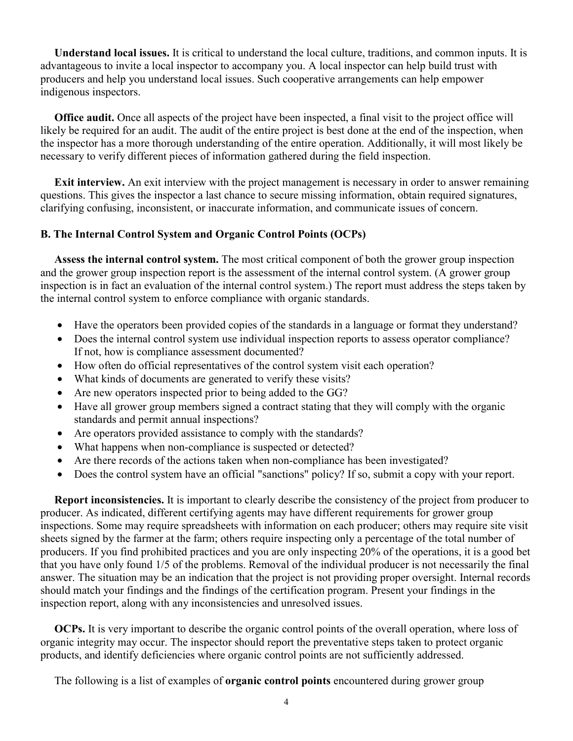**Understand local issues.** It is critical to understand the local culture, traditions, and common inputs. It is advantageous to invite a local inspector to accompany you. A local inspector can help build trust with producers and help you understand local issues. Such cooperative arrangements can help empower indigenous inspectors.

 **Office audit.** Once all aspects of the project have been inspected, a final visit to the project office will likely be required for an audit. The audit of the entire project is best done at the end of the inspection, when the inspector has a more thorough understanding of the entire operation. Additionally, it will most likely be necessary to verify different pieces of information gathered during the field inspection.

**Exit interview.** An exit interview with the project management is necessary in order to answer remaining questions. This gives the inspector a last chance to secure missing information, obtain required signatures, clarifying confusing, inconsistent, or inaccurate information, and communicate issues of concern.

## **B. The Internal Control System and Organic Control Points (OCPs)**

 **Assess the internal control system.** The most critical component of both the grower group inspection and the grower group inspection report is the assessment of the internal control system. (A grower group inspection is in fact an evaluation of the internal control system.) The report must address the steps taken by the internal control system to enforce compliance with organic standards.

- Have the operators been provided copies of the standards in a language or format they understand?
- Does the internal control system use individual inspection reports to assess operator compliance? If not, how is compliance assessment documented?
- How often do official representatives of the control system visit each operation?
- What kinds of documents are generated to verify these visits?
- Are new operators inspected prior to being added to the GG?
- Have all grower group members signed a contract stating that they will comply with the organic standards and permit annual inspections?
- Are operators provided assistance to comply with the standards?
- What happens when non-compliance is suspected or detected?
- Are there records of the actions taken when non-compliance has been investigated?
- Does the control system have an official "sanctions" policy? If so, submit a copy with your report.

**Report inconsistencies.** It is important to clearly describe the consistency of the project from producer to producer. As indicated, different certifying agents may have different requirements for grower group inspections. Some may require spreadsheets with information on each producer; others may require site visit sheets signed by the farmer at the farm; others require inspecting only a percentage of the total number of producers. If you find prohibited practices and you are only inspecting 20% of the operations, it is a good bet that you have only found 1/5 of the problems. Removal of the individual producer is not necessarily the final answer. The situation may be an indication that the project is not providing proper oversight. Internal records should match your findings and the findings of the certification program. Present your findings in the inspection report, along with any inconsistencies and unresolved issues.

**OCPs.** It is very important to describe the organic control points of the overall operation, where loss of organic integrity may occur. The inspector should report the preventative steps taken to protect organic products, and identify deficiencies where organic control points are not sufficiently addressed.

The following is a list of examples of **organic control points** encountered during grower group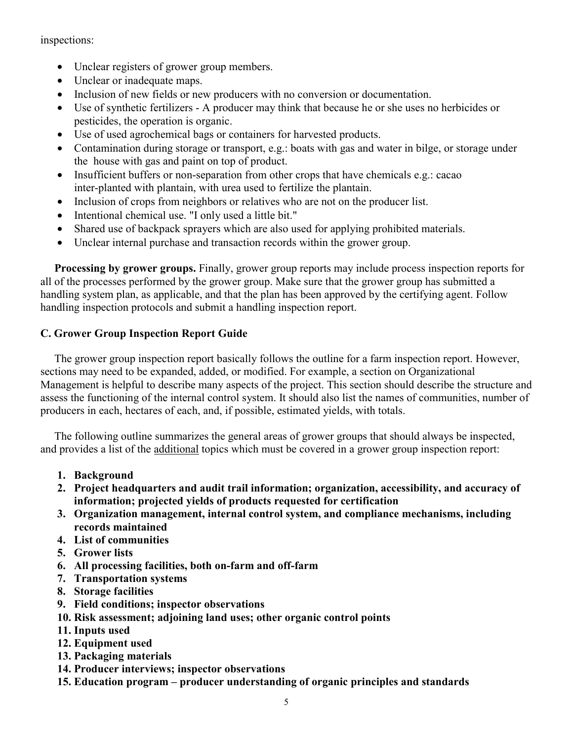inspections:

- Unclear registers of grower group members.
- Unclear or inadequate maps.
- Inclusion of new fields or new producers with no conversion or documentation.
- Use of synthetic fertilizers A producer may think that because he or she uses no herbicides or pesticides, the operation is organic.
- Use of used agrochemical bags or containers for harvested products.
- Contamination during storage or transport, e.g.: boats with gas and water in bilge, or storage under the house with gas and paint on top of product.
- Insufficient buffers or non-separation from other crops that have chemicals e.g.: cacao inter-planted with plantain, with urea used to fertilize the plantain.
- Inclusion of crops from neighbors or relatives who are not on the producer list.
- Intentional chemical use. "I only used a little bit."
- Shared use of backpack sprayers which are also used for applying prohibited materials.
- Unclear internal purchase and transaction records within the grower group.

 **Processing by grower groups.** Finally, grower group reports may include process inspection reports for all of the processes performed by the grower group. Make sure that the grower group has submitted a handling system plan, as applicable, and that the plan has been approved by the certifying agent. Follow handling inspection protocols and submit a handling inspection report.

## **C. Grower Group Inspection Report Guide**

 The grower group inspection report basically follows the outline for a farm inspection report. However, sections may need to be expanded, added, or modified. For example, a section on Organizational Management is helpful to describe many aspects of the project. This section should describe the structure and assess the functioning of the internal control system. It should also list the names of communities, number of producers in each, hectares of each, and, if possible, estimated yields, with totals.

 The following outline summarizes the general areas of grower groups that should always be inspected, and provides a list of the additional topics which must be covered in a grower group inspection report:

- **1. Background**
- **2. Project headquarters and audit trail information; organization, accessibility, and accuracy of information; projected yields of products requested for certification**
- **3. Organization management, internal control system, and compliance mechanisms, including records maintained**
- **4. List of communities**
- **5. Grower lists**
- **6. All processing facilities, both on-farm and off-farm**
- **7. Transportation systems**
- **8. Storage facilities**
- **9. Field conditions; inspector observations**
- **10. Risk assessment; adjoining land uses; other organic control points**
- **11. Inputs used**
- **12. Equipment used**
- **13. Packaging materials**
- **14. Producer interviews; inspector observations**
- **15. Education program producer understanding of organic principles and standards**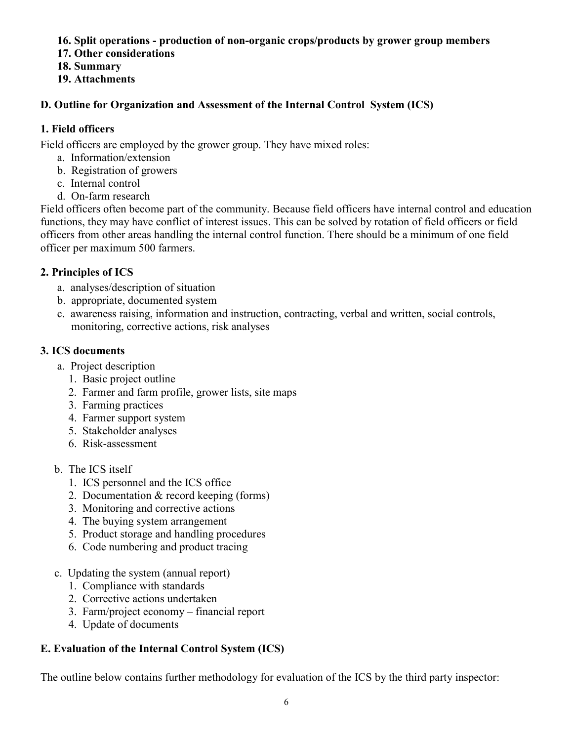## **16. Split operations - production of non-organic crops/products by grower group members**

- **17. Other considerations**
- **18. Summary**
- **19. Attachments**

# **D. Outline for Organization and Assessment of the Internal Control System (ICS)**

# **1. Field officers**

Field officers are employed by the grower group. They have mixed roles:

- a. Information/extension
- b. Registration of growers
- c. Internal control
- d. On-farm research

Field officers often become part of the community. Because field officers have internal control and education functions, they may have conflict of interest issues. This can be solved by rotation of field officers or field officers from other areas handling the internal control function. There should be a minimum of one field officer per maximum 500 farmers.

# **2. Principles of ICS**

- a. analyses/description of situation
- b. appropriate, documented system
- c. awareness raising, information and instruction, contracting, verbal and written, social controls, monitoring, corrective actions, risk analyses

# **3. ICS documents**

- a. Project description
	- 1. Basic project outline
	- 2. Farmer and farm profile, grower lists, site maps
	- 3. Farming practices
	- 4. Farmer support system
	- 5. Stakeholder analyses
	- 6. Risk-assessment
- b. The ICS itself
	- 1. ICS personnel and the ICS office
	- 2. Documentation & record keeping (forms)
	- 3. Monitoring and corrective actions
	- 4. The buying system arrangement
	- 5. Product storage and handling procedures
	- 6. Code numbering and product tracing
- c. Updating the system (annual report)
	- 1. Compliance with standards
	- 2. Corrective actions undertaken
	- 3. Farm/project economy financial report
	- 4. Update of documents

# **E. Evaluation of the Internal Control System (ICS)**

The outline below contains further methodology for evaluation of the ICS by the third party inspector: